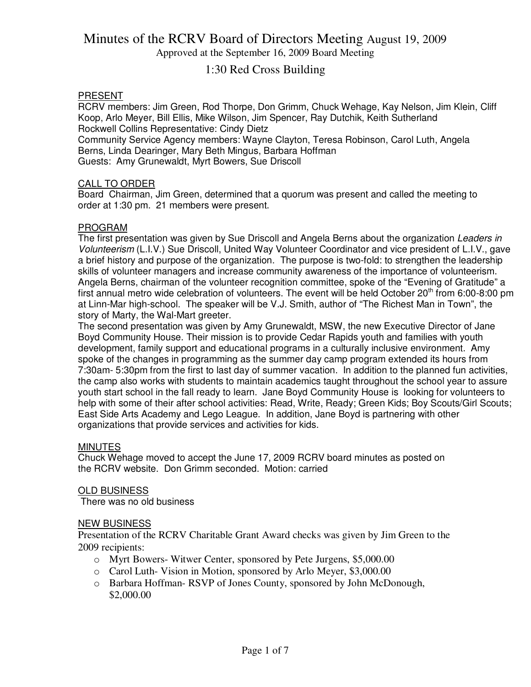Approved at the September 16, 2009 Board Meeting

### 1:30 Red Cross Building

#### PRESENT

RCRV members: Jim Green, Rod Thorpe, Don Grimm, Chuck Wehage, Kay Nelson, Jim Klein, Cliff Koop, Arlo Meyer, Bill Ellis, Mike Wilson, Jim Spencer, Ray Dutchik, Keith Sutherland Rockwell Collins Representative: Cindy Dietz

Community Service Agency members: Wayne Clayton, Teresa Robinson, Carol Luth, Angela Berns, Linda Dearinger, Mary Beth Mingus, Barbara Hoffman Guests: Amy Grunewaldt, Myrt Bowers, Sue Driscoll

#### CALL TO ORDER

Board Chairman, Jim Green, determined that a quorum was present and called the meeting to order at 1:30 pm. 21 members were present.

#### PROGRAM

The first presentation was given by Sue Driscoll and Angela Berns about the organization Leaders in Volunteerism (L.I.V.) Sue Driscoll, United Way Volunteer Coordinator and vice president of L.I.V., gave a brief history and purpose of the organization. The purpose is two-fold: to strengthen the leadership skills of volunteer managers and increase community awareness of the importance of volunteerism. Angela Berns, chairman of the volunteer recognition committee, spoke of the "Evening of Gratitude" a first annual metro wide celebration of volunteers. The event will be held October 20<sup>th</sup> from 6:00-8:00 pm at Linn-Mar high-school. The speaker will be V.J. Smith, author of "The Richest Man in Town", the story of Marty, the Wal-Mart greeter.

The second presentation was given by Amy Grunewaldt, MSW, the new Executive Director of Jane Boyd Community House. Their mission is to provide Cedar Rapids youth and families with youth development, family support and educational programs in a culturally inclusive environment. Amy spoke of the changes in programming as the summer day camp program extended its hours from 7:30am- 5:30pm from the first to last day of summer vacation. In addition to the planned fun activities, the camp also works with students to maintain academics taught throughout the school year to assure youth start school in the fall ready to learn. Jane Boyd Community House is looking for volunteers to help with some of their after school activities: Read, Write, Ready; Green Kids; Boy Scouts/Girl Scouts; East Side Arts Academy and Lego League. In addition, Jane Boyd is partnering with other organizations that provide services and activities for kids.

#### MINUTES

Chuck Wehage moved to accept the June 17, 2009 RCRV board minutes as posted on the RCRV website. Don Grimm seconded. Motion: carried

#### OLD BUSINESS

There was no old business

#### NEW BUSINESS

Presentation of the RCRV Charitable Grant Award checks was given by Jim Green to the 2009 recipients:

- o Myrt Bowers- Witwer Center, sponsored by Pete Jurgens, \$5,000.00
- o Carol Luth- Vision in Motion, sponsored by Arlo Meyer, \$3,000.00
- o Barbara Hoffman- RSVP of Jones County, sponsored by John McDonough, \$2,000.00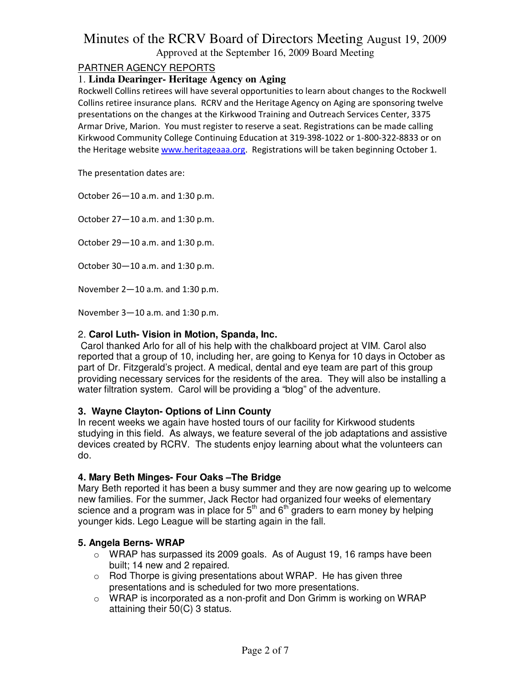Approved at the September 16, 2009 Board Meeting

#### PARTNER AGENCY REPORTS

#### 1. **Linda Dearinger- Heritage Agency on Aging**

Rockwell Collins retirees will have several opportunities to learn about changes to the Rockwell Collins retiree insurance plans. RCRV and the Heritage Agency on Aging are sponsoring twelve presentations on the changes at the Kirkwood Training and Outreach Services Center, 3375 Armar Drive, Marion. You must register to reserve a seat. Registrations can be made calling Kirkwood Community College Continuing Education at 319-398-1022 or 1-800-322-8833 or on the Heritage website www.heritageaaa.org. Registrations will be taken beginning October 1.

The presentation dates are:

October 26—10 a.m. and 1:30 p.m.

October 27—10 a.m. and 1:30 p.m.

October 29—10 a.m. and 1:30 p.m.

October 30—10 a.m. and 1:30 p.m.

November 2—10 a.m. and 1:30 p.m.

November 3—10 a.m. and 1:30 p.m.

#### 2. **Carol Luth- Vision in Motion, Spanda, Inc.**

 Carol thanked Arlo for all of his help with the chalkboard project at VIM. Carol also reported that a group of 10, including her, are going to Kenya for 10 days in October as part of Dr. Fitzgerald's project. A medical, dental and eye team are part of this group providing necessary services for the residents of the area. They will also be installing a water filtration system. Carol will be providing a "blog" of the adventure.

#### **3. Wayne Clayton- Options of Linn County**

In recent weeks we again have hosted tours of our facility for Kirkwood students studying in this field. As always, we feature several of the job adaptations and assistive devices created by RCRV. The students enjoy learning about what the volunteers can do.

#### **4. Mary Beth Minges- Four Oaks –The Bridge**

Mary Beth reported it has been a busy summer and they are now gearing up to welcome new families. For the summer, Jack Rector had organized four weeks of elementary science and a program was in place for  $5<sup>th</sup>$  and  $6<sup>th</sup>$  graders to earn money by helping younger kids. Lego League will be starting again in the fall.

#### **5. Angela Berns- WRAP**

- $\circ$  WRAP has surpassed its 2009 goals. As of August 19, 16 ramps have been built; 14 new and 2 repaired.
- $\circ$  Rod Thorpe is giving presentations about WRAP. He has given three presentations and is scheduled for two more presentations.
- $\circ$  WRAP is incorporated as a non-profit and Don Grimm is working on WRAP attaining their 50(C) 3 status.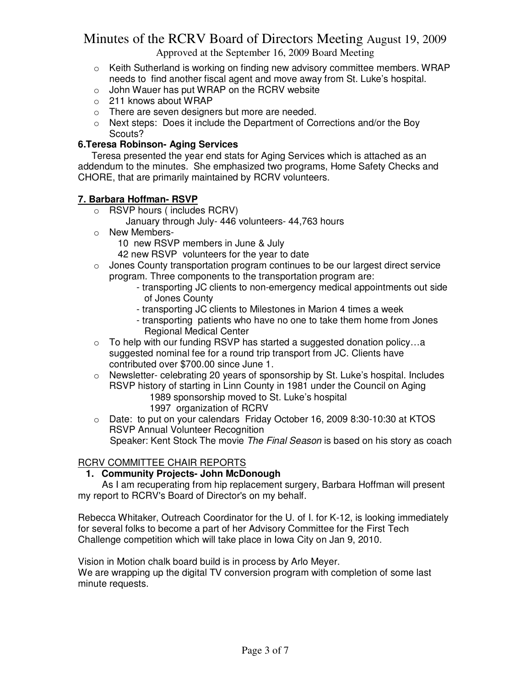Approved at the September 16, 2009 Board Meeting

- $\circ$  Keith Sutherland is working on finding new advisory committee members. WRAP needs to find another fiscal agent and move away from St. Luke's hospital.
- $\circ$  John Wauer has put WRAP on the RCRV website
- o 211 knows about WRAP
- o There are seven designers but more are needed.
- $\circ$  Next steps: Does it include the Department of Corrections and/or the Boy Scouts?

#### **6.Teresa Robinson- Aging Services**

Teresa presented the year end stats for Aging Services which is attached as an addendum to the minutes. She emphasized two programs, Home Safety Checks and CHORE, that are primarily maintained by RCRV volunteers.

#### **7. Barbara Hoffman- RSVP**

- o RSVP hours ( includes RCRV)
	- January through July- 446 volunteers- 44,763 hours
- o New Members-

10 new RSVP members in June & July

- 42 new RSVP volunteers for the year to date
- $\circ$  Jones County transportation program continues to be our largest direct service program. Three components to the transportation program are:
	- transporting JC clients to non-emergency medical appointments out side of Jones County
	- transporting JC clients to Milestones in Marion 4 times a week
	- transporting patients who have no one to take them home from Jones Regional Medical Center
- $\circ$  To help with our funding RSVP has started a suggested donation policy...a suggested nominal fee for a round trip transport from JC. Clients have contributed over \$700.00 since June 1.
- o Newsletter- celebrating 20 years of sponsorship by St. Luke's hospital. Includes RSVP history of starting in Linn County in 1981 under the Council on Aging
	- 1989 sponsorship moved to St. Luke's hospital 1997 organization of RCRV
- o Date: to put on your calendars Friday October 16, 2009 8:30-10:30 at KTOS RSVP Annual Volunteer Recognition Speaker: Kent Stock The movie The Final Season is based on his story as coach

#### RCRV COMMITTEE CHAIR REPORTS

#### **1. Community Projects- John McDonough**

 As I am recuperating from hip replacement surgery, Barbara Hoffman will present my report to RCRV's Board of Director's on my behalf.

Rebecca Whitaker, Outreach Coordinator for the U. of I. for K-12, is looking immediately for several folks to become a part of her Advisory Committee for the First Tech Challenge competition which will take place in Iowa City on Jan 9, 2010.

Vision in Motion chalk board build is in process by Arlo Meyer.

We are wrapping up the digital TV conversion program with completion of some last minute requests.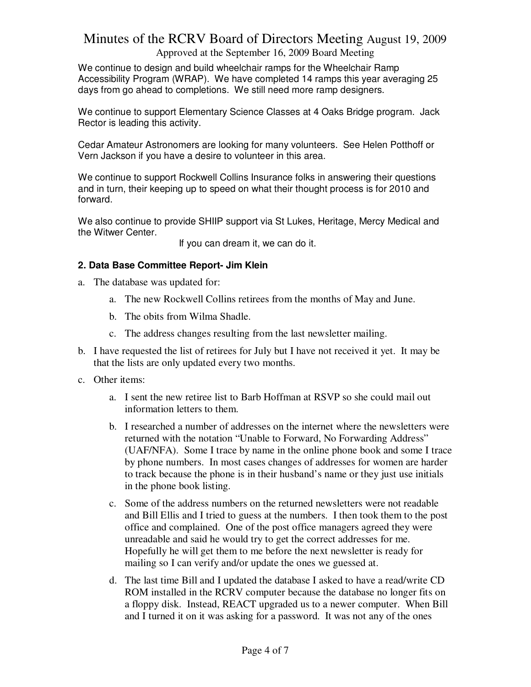#### Approved at the September 16, 2009 Board Meeting

We continue to design and build wheelchair ramps for the Wheelchair Ramp Accessibility Program (WRAP). We have completed 14 ramps this year averaging 25 days from go ahead to completions. We still need more ramp designers.

We continue to support Elementary Science Classes at 4 Oaks Bridge program. Jack Rector is leading this activity.

Cedar Amateur Astronomers are looking for many volunteers. See Helen Potthoff or Vern Jackson if you have a desire to volunteer in this area.

We continue to support Rockwell Collins Insurance folks in answering their questions and in turn, their keeping up to speed on what their thought process is for 2010 and forward.

We also continue to provide SHIIP support via St Lukes, Heritage, Mercy Medical and the Witwer Center.

If you can dream it, we can do it.

#### **2. Data Base Committee Report- Jim Klein**

- a. The database was updated for:
	- a. The new Rockwell Collins retirees from the months of May and June.
	- b. The obits from Wilma Shadle.
	- c. The address changes resulting from the last newsletter mailing.
- b. I have requested the list of retirees for July but I have not received it yet. It may be that the lists are only updated every two months.
- c. Other items:
	- a. I sent the new retiree list to Barb Hoffman at RSVP so she could mail out information letters to them.
	- b. I researched a number of addresses on the internet where the newsletters were returned with the notation "Unable to Forward, No Forwarding Address" (UAF/NFA). Some I trace by name in the online phone book and some I trace by phone numbers. In most cases changes of addresses for women are harder to track because the phone is in their husband's name or they just use initials in the phone book listing.
	- c. Some of the address numbers on the returned newsletters were not readable and Bill Ellis and I tried to guess at the numbers. I then took them to the post office and complained. One of the post office managers agreed they were unreadable and said he would try to get the correct addresses for me. Hopefully he will get them to me before the next newsletter is ready for mailing so I can verify and/or update the ones we guessed at.
	- d. The last time Bill and I updated the database I asked to have a read/write CD ROM installed in the RCRV computer because the database no longer fits on a floppy disk. Instead, REACT upgraded us to a newer computer. When Bill and I turned it on it was asking for a password. It was not any of the ones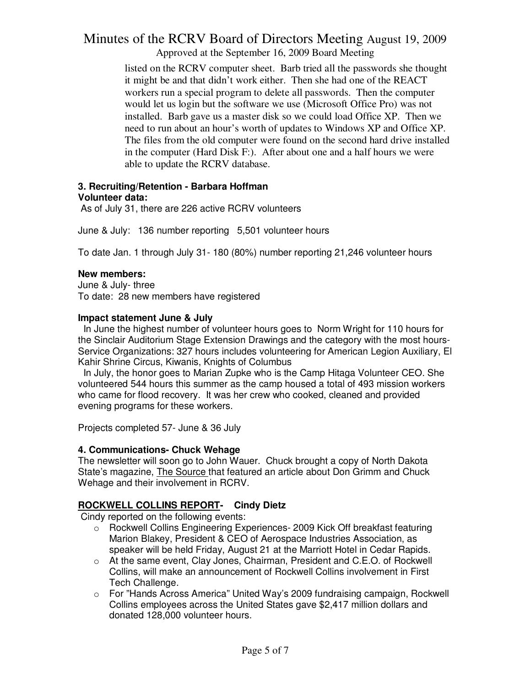Approved at the September 16, 2009 Board Meeting

listed on the RCRV computer sheet. Barb tried all the passwords she thought it might be and that didn't work either. Then she had one of the REACT workers run a special program to delete all passwords. Then the computer would let us login but the software we use (Microsoft Office Pro) was not installed. Barb gave us a master disk so we could load Office XP. Then we need to run about an hour's worth of updates to Windows XP and Office XP. The files from the old computer were found on the second hard drive installed in the computer (Hard Disk F:). After about one and a half hours we were able to update the RCRV database.

#### **3. Recruiting/Retention - Barbara Hoffman Volunteer data:**

As of July 31, there are 226 active RCRV volunteers

June & July: 136 number reporting 5,501 volunteer hours

To date Jan. 1 through July 31- 180 (80%) number reporting 21,246 volunteer hours

#### **New members:**

June & July- three To date: 28 new members have registered

#### **Impact statement June & July**

 In June the highest number of volunteer hours goes to Norm Wright for 110 hours for the Sinclair Auditorium Stage Extension Drawings and the category with the most hours-Service Organizations: 327 hours includes volunteering for American Legion Auxiliary, El Kahir Shrine Circus, Kiwanis, Knights of Columbus

 In July, the honor goes to Marian Zupke who is the Camp Hitaga Volunteer CEO. She volunteered 544 hours this summer as the camp housed a total of 493 mission workers who came for flood recovery. It was her crew who cooked, cleaned and provided evening programs for these workers.

Projects completed 57- June & 36 July

#### **4. Communications- Chuck Wehage**

The newsletter will soon go to John Wauer. Chuck brought a copy of North Dakota State's magazine, The Source that featured an article about Don Grimm and Chuck Wehage and their involvement in RCRV.

#### **ROCKWELL COLLINS REPORT- Cindy Dietz**

Cindy reported on the following events:

- o Rockwell Collins Engineering Experiences- 2009 Kick Off breakfast featuring Marion Blakey, President & CEO of Aerospace Industries Association, as speaker will be held Friday, August 21 at the Marriott Hotel in Cedar Rapids.
- o At the same event, Clay Jones, Chairman, President and C.E.O. of Rockwell Collins, will make an announcement of Rockwell Collins involvement in First Tech Challenge.
- o For "Hands Across America" United Way's 2009 fundraising campaign, Rockwell Collins employees across the United States gave \$2,417 million dollars and donated 128,000 volunteer hours.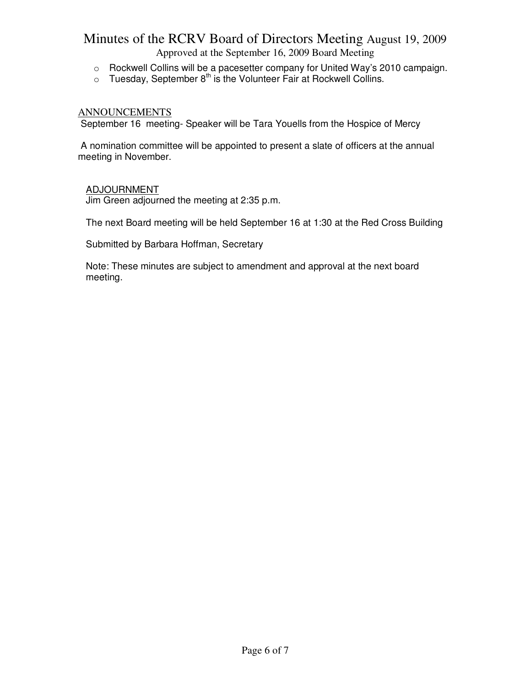Approved at the September 16, 2009 Board Meeting

- o Rockwell Collins will be a pacesetter company for United Way's 2010 campaign.
- $\circ$  Tuesday, September  $8^{\text{th}}$  is the Volunteer Fair at Rockwell Collins.

#### ANNOUNCEMENTS

September 16 meeting- Speaker will be Tara Youells from the Hospice of Mercy

 A nomination committee will be appointed to present a slate of officers at the annual meeting in November.

#### ADJOURNMENT

Jim Green adjourned the meeting at 2:35 p.m.

The next Board meeting will be held September 16 at 1:30 at the Red Cross Building

Submitted by Barbara Hoffman, Secretary

Note: These minutes are subject to amendment and approval at the next board meeting.